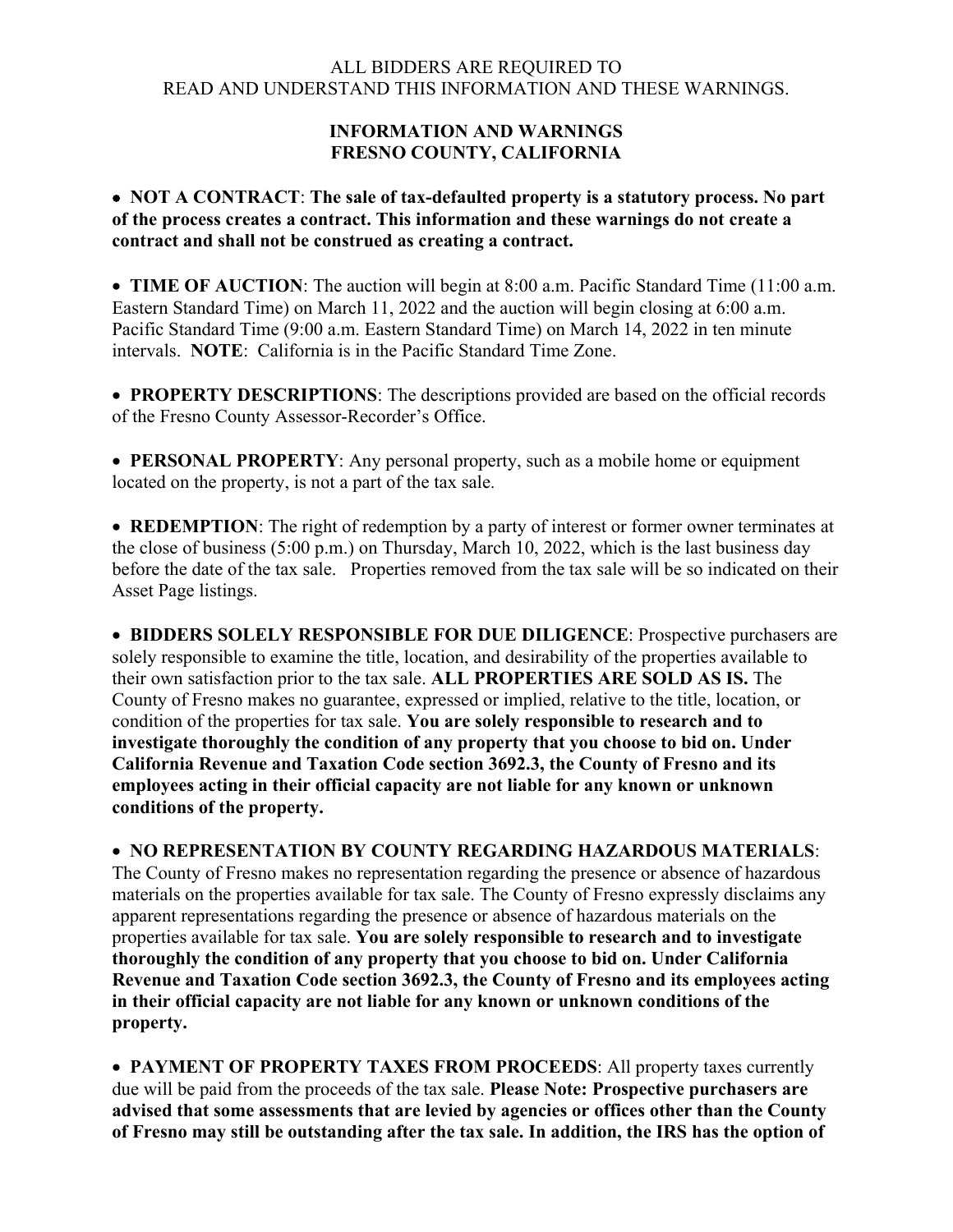## ALL BIDDERS ARE REQUIRED TO READ AND UNDERSTAND THIS INFORMATION AND THESE WARNINGS.

## **INFORMATION AND WARNINGS FRESNO COUNTY, CALIFORNIA**

## • **NOT A CONTRACT**: **The sale of tax-defaulted property is a statutory process. No part of the process creates a contract. This information and these warnings do not create a contract and shall not be construed as creating a contract.**

• **TIME OF AUCTION**: The auction will begin at 8:00 a.m. Pacific Standard Time (11:00 a.m. Eastern Standard Time) on March 11, 2022 and the auction will begin closing at 6:00 a.m. Pacific Standard Time (9:00 a.m. Eastern Standard Time) on March 14, 2022 in ten minute intervals. **NOTE**: California is in the Pacific Standard Time Zone.

• **PROPERTY DESCRIPTIONS**: The descriptions provided are based on the official records of the Fresno County Assessor-Recorder's Office.

• **PERSONAL PROPERTY**: Any personal property, such as a mobile home or equipment located on the property, is not a part of the tax sale.

• **REDEMPTION**: The right of redemption by a party of interest or former owner terminates at the close of business (5:00 p.m.) on Thursday, March 10, 2022, which is the last business day before the date of the tax sale. Properties removed from the tax sale will be so indicated on their Asset Page listings.

• **BIDDERS SOLELY RESPONSIBLE FOR DUE DILIGENCE**: Prospective purchasers are solely responsible to examine the title, location, and desirability of the properties available to their own satisfaction prior to the tax sale. **ALL PROPERTIES ARE SOLD AS IS.** The County of Fresno makes no guarantee, expressed or implied, relative to the title, location, or condition of the properties for tax sale. **You are solely responsible to research and to investigate thoroughly the condition of any property that you choose to bid on. Under California Revenue and Taxation Code section 3692.3, the County of Fresno and its employees acting in their official capacity are not liable for any known or unknown conditions of the property.**

• **NO REPRESENTATION BY COUNTY REGARDING HAZARDOUS MATERIALS**: The County of Fresno makes no representation regarding the presence or absence of hazardous materials on the properties available for tax sale. The County of Fresno expressly disclaims any apparent representations regarding the presence or absence of hazardous materials on the properties available for tax sale. **You are solely responsible to research and to investigate thoroughly the condition of any property that you choose to bid on. Under California Revenue and Taxation Code section 3692.3, the County of Fresno and its employees acting in their official capacity are not liable for any known or unknown conditions of the property.**

• **PAYMENT OF PROPERTY TAXES FROM PROCEEDS**: All property taxes currently due will be paid from the proceeds of the tax sale. **Please Note: Prospective purchasers are advised that some assessments that are levied by agencies or offices other than the County of Fresno may still be outstanding after the tax sale. In addition, the IRS has the option of**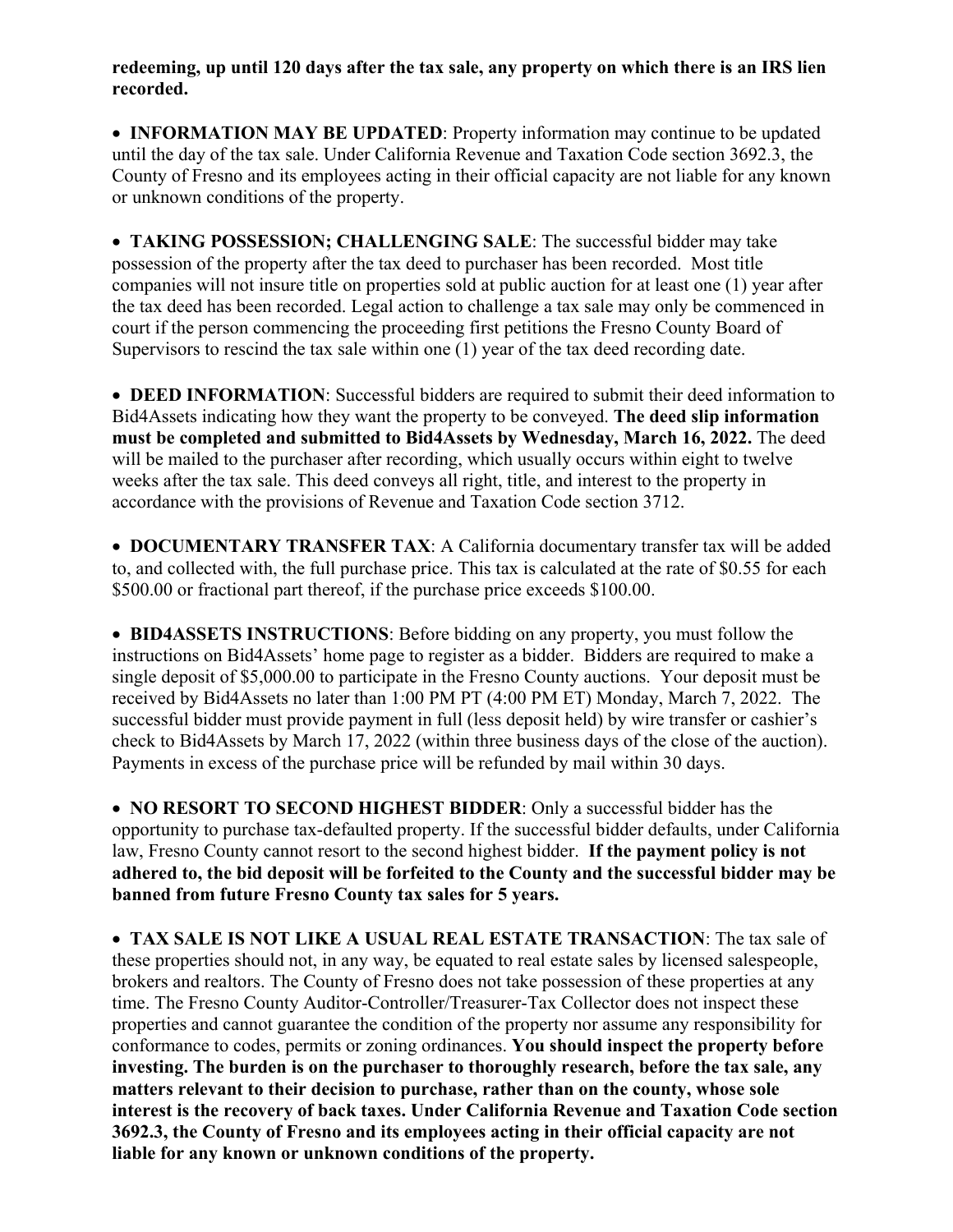## **redeeming, up until 120 days after the tax sale, any property on which there is an IRS lien recorded.**

• **INFORMATION MAY BE UPDATED**: Property information may continue to be updated until the day of the tax sale. Under California Revenue and Taxation Code section 3692.3, the County of Fresno and its employees acting in their official capacity are not liable for any known or unknown conditions of the property.

• **TAKING POSSESSION; CHALLENGING SALE**: The successful bidder may take possession of the property after the tax deed to purchaser has been recorded. Most title companies will not insure title on properties sold at public auction for at least one (1) year after the tax deed has been recorded. Legal action to challenge a tax sale may only be commenced in court if the person commencing the proceeding first petitions the Fresno County Board of Supervisors to rescind the tax sale within one (1) year of the tax deed recording date.

• **DEED INFORMATION**: Successful bidders are required to submit their deed information to Bid4Assets indicating how they want the property to be conveyed. **The deed slip information must be completed and submitted to Bid4Assets by Wednesday, March 16, 2022.** The deed will be mailed to the purchaser after recording, which usually occurs within eight to twelve weeks after the tax sale. This deed conveys all right, title, and interest to the property in accordance with the provisions of Revenue and Taxation Code section 3712.

• **DOCUMENTARY TRANSFER TAX**: A California documentary transfer tax will be added to, and collected with, the full purchase price. This tax is calculated at the rate of \$0.55 for each \$500.00 or fractional part thereof, if the purchase price exceeds \$100.00.

• **BID4ASSETS INSTRUCTIONS**: Before bidding on any property, you must follow the instructions on Bid4Assets' home page to register as a bidder. Bidders are required to make a single deposit of \$5,000.00 to participate in the Fresno County auctions. Your deposit must be received by Bid4Assets no later than 1:00 PM PT (4:00 PM ET) Monday, March 7, 2022. The successful bidder must provide payment in full (less deposit held) by wire transfer or cashier's check to Bid4Assets by March 17, 2022 (within three business days of the close of the auction). Payments in excess of the purchase price will be refunded by mail within 30 days.

• **NO RESORT TO SECOND HIGHEST BIDDER**: Only a successful bidder has the opportunity to purchase tax-defaulted property. If the successful bidder defaults, under California law, Fresno County cannot resort to the second highest bidder. **If the payment policy is not adhered to, the bid deposit will be forfeited to the County and the successful bidder may be banned from future Fresno County tax sales for 5 years.**

• **TAX SALE IS NOT LIKE A USUAL REAL ESTATE TRANSACTION**: The tax sale of these properties should not, in any way, be equated to real estate sales by licensed salespeople, brokers and realtors. The County of Fresno does not take possession of these properties at any time. The Fresno County Auditor-Controller/Treasurer-Tax Collector does not inspect these properties and cannot guarantee the condition of the property nor assume any responsibility for conformance to codes, permits or zoning ordinances. **You should inspect the property before investing. The burden is on the purchaser to thoroughly research, before the tax sale, any matters relevant to their decision to purchase, rather than on the county, whose sole interest is the recovery of back taxes. Under California Revenue and Taxation Code section 3692.3, the County of Fresno and its employees acting in their official capacity are not liable for any known or unknown conditions of the property.**